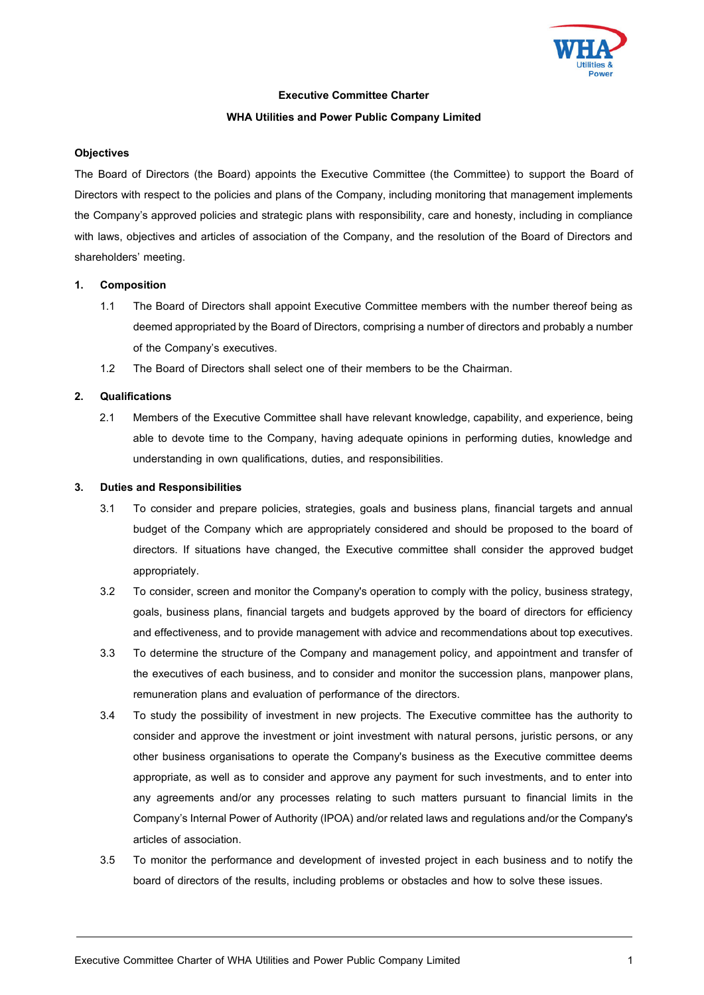

#### **Executive Committee Charter**

#### **WHA Utilities and Power Public Company Limited**

#### **Objectives**

The Board of Directors (the Board) appoints the Executive Committee (the Committee) to support the Board of Directors with respect to the policies and plans of the Company, including monitoring that management implements the Company's approved policies and strategic plans with responsibility, care and honesty, including in compliance with laws, objectives and articles of association of the Company, and the resolution of the Board of Directors and shareholders' meeting.

#### **1. Composition**

- 1.1 The Board of Directors shall appoint Executive Committee members with the number thereof being as deemed appropriated by the Board of Directors, comprising a number of directors and probably a number of the Company's executives.
- 1.2 The Board of Directors shall select one of their members to be the Chairman.

#### **2. Qualifications**

2.1 Members of the Executive Committee shall have relevant knowledge, capability, and experience, being able to devote time to the Company, having adequate opinions in performing duties, knowledge and understanding in own qualifications, duties, and responsibilities.

#### **3. Duties and Responsibilities**

- 3.1 To consider and prepare policies, strategies, goals and business plans, financial targets and annual budget of the Company which are appropriately considered and should be proposed to the board of directors. If situations have changed, the Executive committee shall consider the approved budget appropriately.
- 3.2 To consider, screen and monitor the Company's operation to comply with the policy, business strategy, goals, business plans, financial targets and budgets approved by the board of directors for efficiency and effectiveness, and to provide management with advice and recommendations about top executives.
- 3.3 To determine the structure of the Company and management policy, and appointment and transfer of the executives of each business, and to consider and monitor the succession plans, manpower plans, remuneration plans and evaluation of performance of the directors.
- 3.4 To study the possibility of investment in new projects. The Executive committee has the authority to consider and approve the investment or joint investment with natural persons, juristic persons, or any other business organisations to operate the Company's business as the Executive committee deems appropriate, as well as to consider and approve any payment for such investments, and to enter into any agreements and/or any processes relating to such matters pursuant to financial limits in the Company's Internal Power of Authority (IPOA) and/or related laws and regulations and/or the Company's articles of association.
- 3.5 To monitor the performance and development of invested project in each business and to notify the board of directors of the results, including problems or obstacles and how to solve these issues.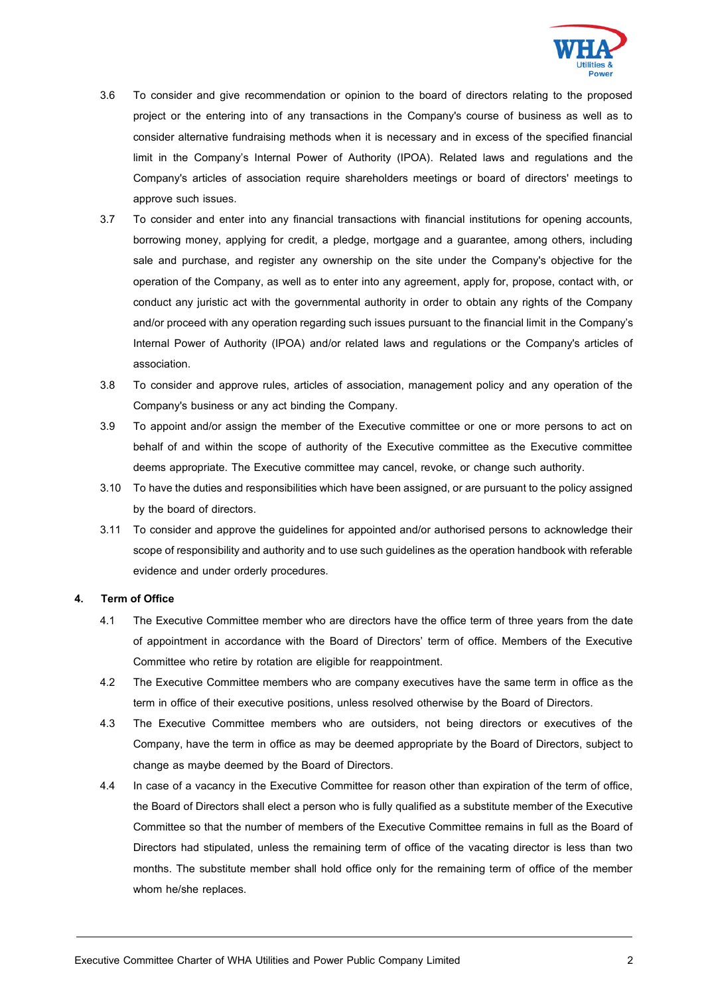

- 3.6 To consider and give recommendation or opinion to the board of directors relating to the proposed project or the entering into of any transactions in the Company's course of business as well as to consider alternative fundraising methods when it is necessary and in excess of the specified financial limit in the Company's Internal Power of Authority (IPOA). Related laws and regulations and the Company's articles of association require shareholders meetings or board of directors' meetings to approve such issues.
- 3.7 To consider and enter into any financial transactions with financial institutions for opening accounts, borrowing money, applying for credit, a pledge, mortgage and a guarantee, among others, including sale and purchase, and register any ownership on the site under the Company's objective for the operation of the Company, as well as to enter into any agreement, apply for, propose, contact with, or conduct any juristic act with the governmental authority in order to obtain any rights of the Company and/or proceed with any operation regarding such issues pursuant to the financial limit in the Company's Internal Power of Authority (IPOA) and/or related laws and regulations or the Company's articles of association.
- 3.8 To consider and approve rules, articles of association, management policy and any operation of the Company's business or any act binding the Company.
- 3.9 To appoint and/or assign the member of the Executive committee or one or more persons to act on behalf of and within the scope of authority of the Executive committee as the Executive committee deems appropriate. The Executive committee may cancel, revoke, or change such authority.
- 3.10 To have the duties and responsibilities which have been assigned, or are pursuant to the policy assigned by the board of directors.
- 3.11 To consider and approve the guidelines for appointed and/or authorised persons to acknowledge their scope of responsibility and authority and to use such guidelines as the operation handbook with referable evidence and under orderly procedures.

## **4. Term of Office**

- 4.1 The Executive Committee member who are directors have the office term of three years from the date of appointment in accordance with the Board of Directors' term of office. Members of the Executive Committee who retire by rotation are eligible for reappointment.
- 4.2 The Executive Committee members who are company executives have the same term in office as the term in office of their executive positions, unless resolved otherwise by the Board of Directors.
- 4.3 The Executive Committee members who are outsiders, not being directors or executives of the Company, have the term in office as may be deemed appropriate by the Board of Directors, subject to change as maybe deemed by the Board of Directors.
- 4.4 In case of a vacancy in the Executive Committee for reason other than expiration of the term of office, the Board of Directors shall elect a person who is fully qualified as a substitute member of the Executive Committee so that the number of members of the Executive Committee remains in full as the Board of Directors had stipulated, unless the remaining term of office of the vacating director is less than two months. The substitute member shall hold office only for the remaining term of office of the member whom he/she replaces.